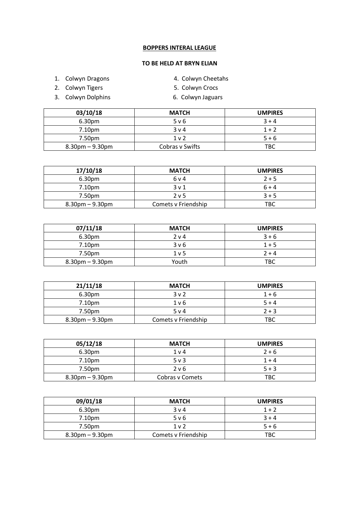## **BOPPERS INTERAL LEAGUE**

## **TO BE HELD AT BRYN ELIAN**

- 1. Colwyn Dragons 4. Colwyn Cheetahs
- 2. Colwyn Tigers **5. Colwyn Crocs**
- 3. Colwyn Dolphins 6. Colwyn Jaguars
- 
- -

| 03/10/18           | <b>MATCH</b>    | <b>UMPIRES</b> |
|--------------------|-----------------|----------------|
| 6.30 <sub>pm</sub> | 5 v 6           | $3 + 4$        |
| 7.10pm             | 3 v 4           | $1 + 2$        |
| 7.50pm             | 1 <sub>v</sub>  | $5 + 6$        |
| $8.30pm - 9.30pm$  | Cobras v Swifts | <b>TBC</b>     |

| 17/10/18           | <b>MATCH</b>        | <b>UMPIRES</b> |
|--------------------|---------------------|----------------|
| 6.30 <sub>pm</sub> | 6 v 4               | $2 + 5$        |
| 7.10pm             | 3 <sub>v</sub> 1    | $6 + 4$        |
| 7.50pm             | 2 <sub>v</sub> 5    | $3 + 5$        |
| $8.30$ pm – 9.30pm | Comets v Friendship | TBC            |

| 07/11/18           | <b>MATCH</b> | <b>UMPIRES</b> |
|--------------------|--------------|----------------|
| 6.30pm             | 2 v 4        | $3 + 6$        |
| 7.10 <sub>pm</sub> | 3v6          | $1 + 5$        |
| 7.50pm             | $1v$ 5       | $2 + 4$        |
| $8.30$ pm – 9.30pm | Youth        | <b>TBC</b>     |

| 21/11/18           | <b>MATCH</b>        | <b>UMPIRES</b> |
|--------------------|---------------------|----------------|
| 6.30 <sub>pm</sub> | 3 <sub>v</sub> 2    | $1 + 6$        |
| 7.10 <sub>pm</sub> | 1 <sub>v</sub> 6    | $5 + 4$        |
| 7.50pm             | 5 v 4               | $2 + 3$        |
| $8.30pm - 9.30pm$  | Comets v Friendship | ТВС            |

| 05/12/18           | <b>MATCH</b>    | <b>UMPIRES</b> |
|--------------------|-----------------|----------------|
| 6.30 <sub>pm</sub> | 1 <sub>v</sub>  | $2 + 6$        |
| 7.10pm             | $5v$ 3          | $1 + 4$        |
| 7.50pm             | 2 v 6           | $5 + 3$        |
| $8.30pm - 9.30pm$  | Cobras y Comets | TBC            |

| 09/01/18          | <b>MATCH</b>        | <b>UMPIRES</b> |
|-------------------|---------------------|----------------|
| 6.30pm            | 3 <sub>v</sub> 4    | $1 + 2$        |
| 7.10pm            | 5 v 6               | $3 + 4$        |
| 7.50pm            | 1 <sub>v</sub>      | $5 + 6$        |
| $8.30pm - 9.30pm$ | Comets v Friendship | TBC            |